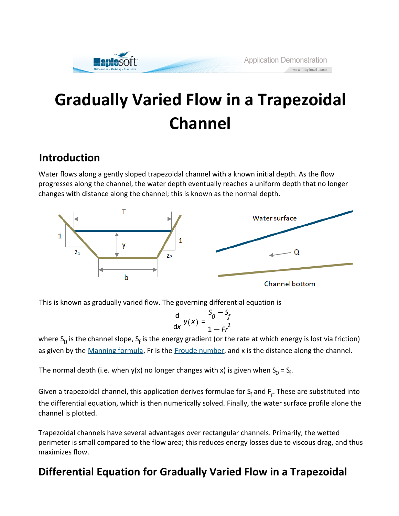# **Gradually Varied Flow in a Trapezoidal Channel**

### **Introduction**

Water flows along a gently sloped trapezoidal channel with a known initial depth. As the flow progresses along the channel, the water depth eventually reaches a uniform depth that no longer changes with distance along the channel; this is known as the normal depth.



This is known as gradually varied flow. The governing differential equation is

$$
\frac{d}{dx} y(x) = \frac{S_0 - S_f}{1 - Fr^2}
$$

where S<sub>0</sub> is the channel slope, S<sub>f</sub> is the energy gradient (or the rate at which energy is lost via friction) as given by the Manning formula, Fr is the Froude number, and x is the distance along the channel.

The normal depth (i.e. when y(x) no longer changes with x) is given when  $S_0 = S_f$ .

Given a trapezoidal channel, this application derives formulae for S<sub>f</sub> and F<sub>r</sub>. These are substituted into the differential equation, which is then numerically solved. Finally, the water surface profile alone the channel is plotted.

Trapezoidal channels have several advantages over rectangular channels. Primarily, the wetted perimeter is small compared to the flow area; this reduces energy losses due to viscous drag, and thus maximizes flow.

## **Differential Equation for Gradually Varied Flow in a Trapezoidal**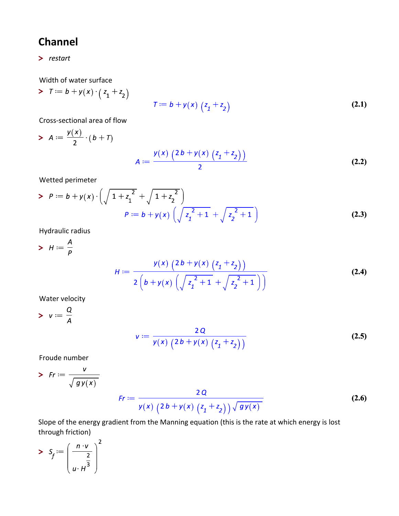## **Channel**

**>** 

Width of water surface

>  $\tau := b + y(x) \cdot (z_1 + z_2)$  $T := b + y(x) (z_1 + z_2)$ **(2.1)**

Cross-sectional area of flow

> 
$$
A := \frac{y(x)}{2} \cdot (b + T)
$$
  

$$
A := \frac{y(x) (2b + y(x) (z_1 + z_2))}{2}
$$
 (2.2)

Wetted perimeter

> 
$$
P := b + y(x) \cdot \left( \sqrt{1 + z_1^2} + \sqrt{1 + z_2^2} \right)
$$
  
\n
$$
P := b + y(x) \left( \sqrt{z_1^2 + 1} + \sqrt{z_2^2 + 1} \right)
$$
\n(2.3)

Hydraulic radius

> 
$$
H := \frac{A}{p}
$$
  

$$
H := \frac{y(x) (2b + y(x) (z_1 + z_2))}{2 (b + y(x) (\sqrt{z_1^2 + 1} + \sqrt{z_2^2 + 1}))}
$$
(2.4)

Water velocity

$$
\mathbf{v} := \frac{Q}{A}
$$

$$
v := \frac{2Q}{y(x) (2b + y(x) (z_1 + z_2))}
$$
 (2.5)

Froude number

> Fr := 
$$
\frac{v}{\sqrt{gy(x)}}
$$
  
\nFr :=  $\frac{2Q}{y(x) (2b + y(x) (z_1 + z_2)) \sqrt{gy(x)}}$  (2.6)

Slope of the energy gradient from the Manning equation (this is the rate at which energy is lost through friction)

$$
> S_f := \left(\frac{n \cdot v}{u \cdot H^3}\right)^2
$$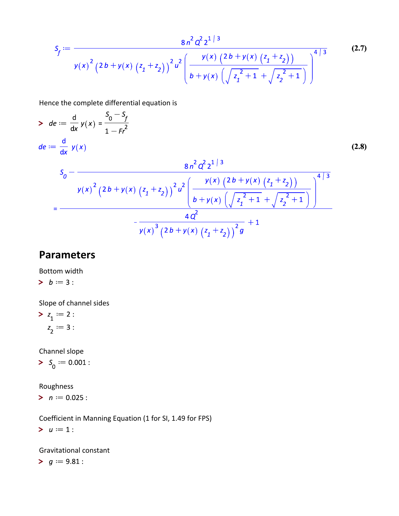$$
S_{f} := \frac{8n^{2} Q^{2} 2^{1/3}}{y(x)^{2} (2b + y(x) (z_{1} + z_{2}))^{2} u^{2} \left(\frac{y(x) (2b + y(x) (z_{1} + z_{2}))}{b + y(x) (\sqrt{z_{1}^{2} + 1} + \sqrt{z_{2}^{2} + 1})}\right)^{4/3}}
$$
(2.7)

Hence the complete differential equation is

> 
$$
de := \frac{d}{dx} y(x) = \frac{S_0 - S_f}{1 - Fr^2}
$$
  
\n
$$
de := \frac{d}{dx} y(x)
$$
\n
$$
S_0 - \frac{8n^2 Q^2 2^{1/3}}{y(x)^2 (2b + y(x) (z_1 + z_2))^2 u^2 \left(\frac{y(x) (2b + y(x) (z_1 + z_2))}{b + y(x) (\sqrt{z_1^2 + 1} + \sqrt{z_2^2 + 1})}\right)^{4/3}}
$$
\n
$$
= \frac{4Q^2}{y(x)^3 (2b + y(x) (z_1 + z_2))^2 g} + 1
$$
\n(2.8)

#### **Parameters**

Bottom width

$$
\bm{b} := 3:
$$

Slope of channel sides

$$
> z_1 := 2:
$$
  

$$
z_2 := 3:
$$

Channel slope

 $> S_0 := 0.001$  :

Roughness

 $> n := 0.025$ :

Coefficient in Manning Equation (1 for SI, 1.49 for FPS)

 $> u := 1$ :

Gravitational constant

 $> g := 9.81$  :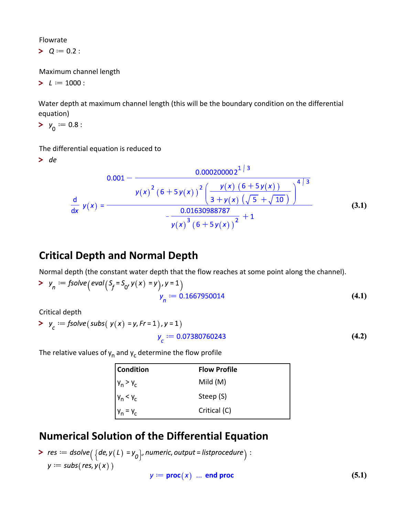Flowrate

 $> Q := 0.2$ :

Maximum channel length

 $> L := 1000$ :

Water depth at maximum channel length (this will be the boundary condition on the differential equation)

$$
\succ y_0 := 0.8:
$$

The differential equation is reduced to

 $>$  de

$$
0.001 - \frac{0.000200002^{1/3}}{y(x)^{2} (6+5y(x))^{2} \left(\frac{y(x) (6+5y(x))}{3+y(x) (\sqrt{5} + \sqrt{10})}\right)^{4/3}}
$$
\n
$$
\frac{d}{dx} y(x) = \frac{0.01630988787}{y(x)^{3} (6+5y(x))^{2}} + 1
$$
\n(3.1)

#### **Critical Depth and Normal Depth**

Normal depth (the constant water depth that the flow reaches at some point along the channel).

> 
$$
y_n := \text{fsolve}\left(\text{eval}(S_f = S_0, y(x) = y), y = 1\right)
$$
  
 $y_n := 0.1667950014$  (4.1)

Critical depth

> 
$$
y_c := \text{fsolve}(\text{subs}(\ y(x) = y, \text{Fr} = 1), y = 1)
$$
  
 $y_c := 0.07380760243$ 

The relative values of  $\bm{{\mathsf{y}}}_{{\mathsf{n}}}$  and  $\bm{{\mathsf{y}}}_{{\mathsf{c}}}$  determine the flow profile

| <b>Condition</b> | <b>Flow Profile</b> |
|------------------|---------------------|
| $y_n > y_c$      | Mild $(M)$          |
| $y_n < y_c$      | Steep (S)           |
| $y_n = y_c$      | Critical (C)        |

#### **Numerical Solution of the Differential Equation**

>  $res := dsolve(\lbrace de, y(L) = y_0 \rbrace, numeric, output = listprocedure) :$  $y :=$  subs(res,  $y(x)$ )

$$
y := \mathbf{proc}(x) \dots \mathbf{end proc}
$$

**(4.2)**

**(5.1)**